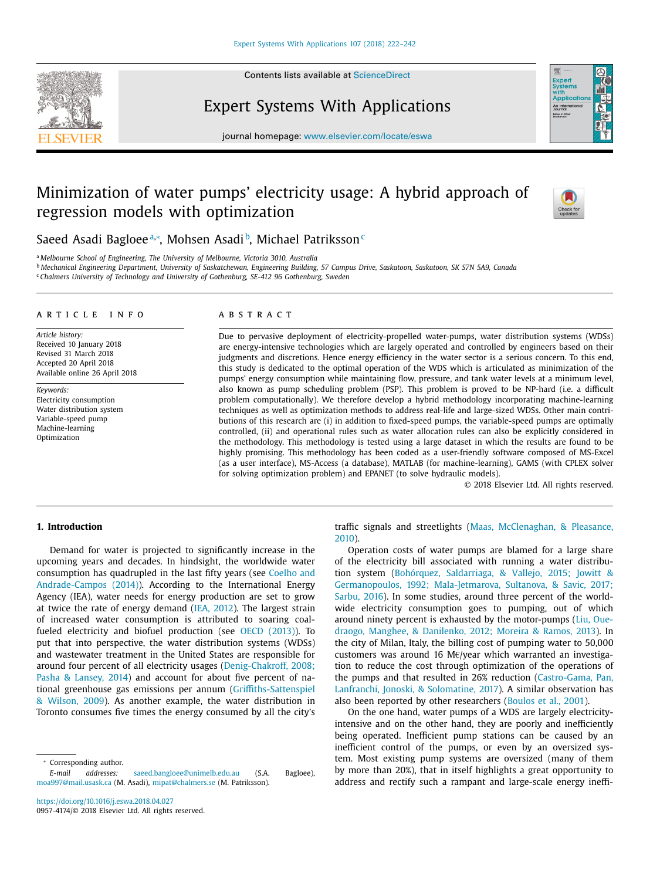Contents lists available at [ScienceDirect](http://www.ScienceDirect.com)



## Expert Systems With Applications



journal homepage: [www.elsevier.com/locate/eswa](http://www.elsevier.com/locate/eswa)

# Minimization of water pumps' electricity usage: A hybrid approach of regression models with optimization



Saeed Asadi Bagloeeª,\*, Mohsen Asadi b, Michael Patriksson C

<sup>a</sup> *Melbourne School of Engineering, The University of Melbourne, Victoria 3010, Australia*

<sup>b</sup> Mechanical Engineering Department, University of Saskatchewan, Engineering Building, 57 Campus Drive, Saskatoon, Saskatoon, SK S7N 5A9, Canada

<sup>c</sup> *Chalmers University of Technology and University of Gothenburg, SE-412 96 Gothenburg, Sweden*

#### a r t i c l e i n f o

*Article history:* Received 10 January 2018 Revised 31 March 2018 Accepted 20 April 2018 Available online 26 April 2018

*Keywords:* Electricity consumption Water distribution system Variable-speed pump Machine-learning Optimization

### A B S T R A C T

Due to pervasive deployment of electricity-propelled water-pumps, water distribution systems (WDSs) are energy-intensive technologies which are largely operated and controlled by engineers based on their judgments and discretions. Hence energy efficiency in the water sector is a serious concern. To this end, this study is dedicated to the optimal operation of the WDS which is articulated as minimization of the pumps' energy consumption while maintaining flow, pressure, and tank water levels at a minimum level, also known as pump scheduling problem (PSP). This problem is proved to be NP-hard (i.e. a difficult problem computationally). We therefore develop a hybrid methodology incorporating machine-learning techniques as well as optimization methods to address real-life and large-sized WDSs. Other main contributions of this research are (i) in addition to fixed-speed pumps, the variable-speed pumps are optimally controlled, (ii) and operational rules such as water allocation rules can also be explicitly considered in the methodology. This methodology is tested using a large dataset in which the results are found to be highly promising. This methodology has been coded as a user-friendly software composed of MS-Excel (as a user interface), MS-Access (a database), MATLAB (for machine-learning), GAMS (with CPLEX solver for solving optimization problem) and EPANET (to solve hydraulic models).

© 2018 Elsevier Ltd. All rights reserved.

## **1. Introduction**

Demand for water is projected to significantly increase in the upcoming years and decades. In hindsight, the worldwide water consumption has quadrupled in the last fifty years (see Coelho and [Andrade-Campos](#page--1-0) (2014)). According to the International Energy Agency (IEA), water needs for energy production are set to grow at twice the rate of energy demand (IEA, [2012\)](#page--1-0). The largest strain of increased water consumption is attributed to soaring coalfueled electricity and biofuel production (see OECD [\(2013\)\)](#page--1-0). To put that into perspective, the water distribution systems (WDSs) and wastewater treatment in the United States are responsible for around four percent of all electricity usages [\(Denig-Chakroff,](#page--1-0) 2008; Pasha & Lansey, 2014) and account for about five percent of national greenhouse gas emissions per annum [\(Griffiths-Sattenspiel](#page--1-0) & Wilson, 2009). As another example, the water distribution in Toronto consumes five times the energy consumed by all the city's

<sup>∗</sup> Corresponding author.

<https://doi.org/10.1016/j.eswa.2018.04.027> 0957-4174/© 2018 Elsevier Ltd. All rights reserved. traffic signals and streetlights (Maas, [McClenaghan,](#page--1-0) & Pleasance, 2010).

Operation costs of water pumps are blamed for a large share of the electricity bill associated with running a water distribution system (Bohórquez, Saldarriaga, & Vallejo, 2015; Jowitt & [Germanopoulos,](#page--1-0) 1992; Mala-Jetmarova, Sultanova, & Savic, 2017; Sarbu, 2016). In some studies, around three percent of the worldwide electricity consumption goes to pumping, out of which around ninety percent is exhausted by the [motor-pumps](#page--1-0) (Liu, Ouedraogo, Manghee, & Danilenko, 2012; Moreira & Ramos, 2013). In the city of Milan, Italy, the billing cost of pumping water to 50,000 customers was around 16 M€/year which warranted an investigation to reduce the cost through optimization of the operations of the pumps and that resulted in 26% reduction [\(Castro-Gama,](#page--1-0) Pan, Lanfranchi, Jonoski, & Solomatine, 2017). A similar observation has also been reported by other researchers [\(Boulos](#page--1-0) et al., 2001).

On the one hand, water pumps of a WDS are largely electricityintensive and on the other hand, they are poorly and inefficiently being operated. Inefficient pump stations can be caused by an inefficient control of the pumps, or even by an oversized system. Most existing pump systems are oversized (many of them by more than 20%), that in itself highlights a great opportunity to address and rectify such a rampant and large-scale energy ineffi-

*E-mail addresses:* [saeed.bangloee@unimelb.edu.au](mailto:saeed.bangloee@unimelb.edu.au) (S.A. Bagloee), [moa997@mail.usask.ca](mailto:moa997@mail.usask.ca) (M. Asadi), [mipat@chalmers.se](mailto:mipat@chalmers.se) (M. Patriksson).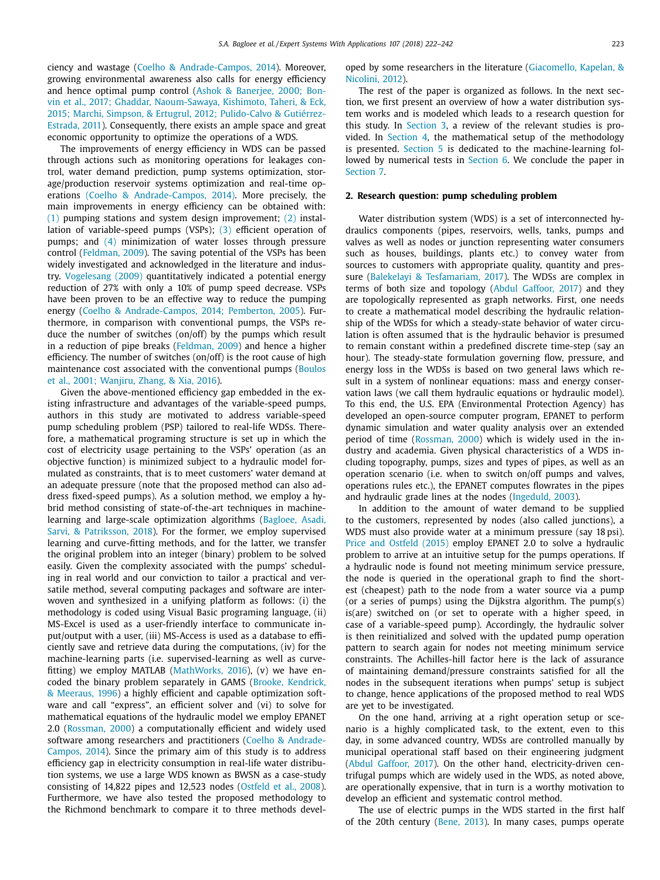ciency and wastage (Coelho & [Andrade-Campos,](#page--1-0) 2014). Moreover, growing environmental awareness also calls for energy efficiency and hence optimal pump control (Ashok & Banerjee, 2000; Bonvin et al., 2017; Ghaddar, [Naoum-Sawaya,](#page--1-0) Kishimoto, Taheri, & Eck, 2015; Marchi, Simpson, & Ertugrul, 2012; Pulido-Calvo & Gutiérrez-Estrada, 2011). [Consequently,](#page--1-0) there exists an ample space and great economic opportunity to optimize the operations of a WDS.

The improvements of energy efficiency in WDS can be passed through actions such as monitoring operations for leakages control, water demand prediction, pump systems optimization, storage/production reservoir systems optimization and real-time operations (Coelho & [Andrade-Campos,](#page--1-0) 2014). More precisely, the main improvements in energy efficiency can be obtained with: [\(1\)](#page--1-0) pumping stations and system design improvement; [\(2\)](#page--1-0) installation of variable-speed pumps (VSPs); [\(3\)](#page--1-0) efficient operation of pumps; and [\(4\)](#page--1-0) minimization of water losses through pressure control [\(Feldman,](#page--1-0) 2009). The saving potential of the VSPs has been widely investigated and acknowledged in the literature and industry. [Vogelesang](#page--1-0) (2009) quantitatively indicated a potential energy reduction of 27% with only a 10% of pump speed decrease. VSPs have been proven to be an effective way to reduce the pumping energy (Coelho & [Andrade-Campos,](#page--1-0) 2014; Pemberton, 2005). Furthermore, in comparison with conventional pumps, the VSPs reduce the number of switches (on/off) by the pumps which result in a reduction of pipe breaks [\(Feldman,](#page--1-0) 2009) and hence a higher efficiency. The number of switches (on/off) is the root cause of high [maintenance](#page--1-0) cost associated with the conventional pumps (Boulos et al., 2001; Wanjiru, Zhang, & Xia, 2016).

Given the above-mentioned efficiency gap embedded in the existing infrastructure and advantages of the variable-speed pumps, authors in this study are motivated to address variable-speed pump scheduling problem (PSP) tailored to real-life WDSs. Therefore, a mathematical programing structure is set up in which the cost of electricity usage pertaining to the VSPs' operation (as an objective function) is minimized subject to a hydraulic model formulated as constraints, that is to meet customers' water demand at an adequate pressure (note that the proposed method can also address fixed-speed pumps). As a solution method, we employ a hybrid method consisting of state-of-the-art techniques in machinelearning and large-scale [optimization](#page--1-0) algorithms (Bagloee, Asadi, Sarvi, & Patriksson, 2018). For the former, we employ supervised learning and curve-fitting methods, and for the latter, we transfer the original problem into an integer (binary) problem to be solved easily. Given the complexity associated with the pumps' scheduling in real world and our conviction to tailor a practical and versatile method, several computing packages and software are interwoven and synthesized in a unifying platform as follows: (i) the methodology is coded using Visual Basic programing language, (ii) MS-Excel is used as a user-friendly interface to communicate input/output with a user, (iii) MS-Access is used as a database to efficiently save and retrieve data during the computations, (iv) for the machine-learning parts (i.e. supervised-learning as well as curvefitting) we employ MATLAB [\(MathWorks,](#page--1-0) 2016), (v) we have encoded the binary problem separately in GAMS (Brooke, Kendrick, & Meeraus, 1996) a highly efficient and capable [optimization](#page--1-0) software and call "express", an efficient solver and (vi) to solve for mathematical equations of the hydraulic model we employ EPANET 2.0 [\(Rossman,](#page--1-0) 2000) a computationally efficient and widely used software among researchers and [practitioners](#page--1-0) (Coelho & Andrade-Campos, 2014). Since the primary aim of this study is to address efficiency gap in electricity consumption in real-life water distribution systems, we use a large WDS known as BWSN as a case-study consisting of 14,822 pipes and 12,523 nodes [\(Ostfeld](#page--1-0) et al., 2008). Furthermore, we have also tested the proposed methodology to the Richmond benchmark to compare it to three methods developed by some researchers in the literature [\(Giacomello,](#page--1-0) Kapelan, & Nicolini, 2012).

The rest of the paper is organized as follows. In the next section, we first present an overview of how a water distribution system works and is modeled which leads to a research question for this study. In [Section](#page--1-0) 3, a review of the relevant studies is provided. In [Section](#page--1-0) 4, the mathematical setup of the methodology is presented. [Section](#page--1-0) 5 is dedicated to the machine-learning followed by numerical tests in [Section](#page--1-0) 6. We conclude the paper in [Section](#page--1-0) 7.

#### **2. Research question: pump scheduling problem**

Water distribution system (WDS) is a set of interconnected hydraulics components (pipes, reservoirs, wells, tanks, pumps and valves as well as nodes or junction representing water consumers such as houses, buildings, plants etc.) to convey water from sources to customers with appropriate quality, quantity and pressure (Balekelayi & [Tesfamariam,](#page--1-0) 2017). The WDSs are complex in terms of both size and topology (Abdul [Gaffoor,](#page--1-0) 2017) and they are topologically represented as graph networks. First, one needs to create a mathematical model describing the hydraulic relationship of the WDSs for which a steady-state behavior of water circulation is often assumed that is the hydraulic behavior is presumed to remain constant within a predefined discrete time-step (say an hour). The steady-state formulation governing flow, pressure, and energy loss in the WDSs is based on two general laws which result in a system of nonlinear equations: mass and energy conservation laws (we call them hydraulic equations or hydraulic model). To this end, the U.S. EPA (Environmental Protection Agency) has developed an open-source computer program, EPANET to perform dynamic simulation and water quality analysis over an extended period of time [\(Rossman,](#page--1-0) 2000) which is widely used in the industry and academia. Given physical characteristics of a WDS including topography, pumps, sizes and types of pipes, as well as an operation scenario (i.e. when to switch on/off pumps and valves, operations rules etc.), the EPANET computes flowrates in the pipes and hydraulic grade lines at the nodes [\(Ingeduld,](#page--1-0) 2003).

In addition to the amount of water demand to be supplied to the customers, represented by nodes (also called junctions), a WDS must also provide water at a minimum pressure (say 18 psi). Price and [Ostfeld](#page--1-0) (2015) employ EPANET 2.0 to solve a hydraulic problem to arrive at an intuitive setup for the pumps operations. If a hydraulic node is found not meeting minimum service pressure, the node is queried in the operational graph to find the shortest (cheapest) path to the node from a water source via a pump (or a series of pumps) using the Dijkstra algorithm. The pump(s) is(are) switched on (or set to operate with a higher speed, in case of a variable-speed pump). Accordingly, the hydraulic solver is then reinitialized and solved with the updated pump operation pattern to search again for nodes not meeting minimum service constraints. The Achilles-hill factor here is the lack of assurance of maintaining demand/pressure constraints satisfied for all the nodes in the subsequent iterations when pumps' setup is subject to change, hence applications of the proposed method to real WDS are yet to be investigated.

On the one hand, arriving at a right operation setup or scenario is a highly complicated task, to the extent, even to this day, in some advanced country, WDSs are controlled manually by municipal operational staff based on their engineering judgment (Abdul [Gaffoor,](#page--1-0) 2017). On the other hand, electricity-driven centrifugal pumps which are widely used in the WDS, as noted above, are operationally expensive, that in turn is a worthy motivation to develop an efficient and systematic control method.

The use of electric pumps in the WDS started in the first half of the 20th century [\(Bene,](#page--1-0) 2013). In many cases, pumps operate